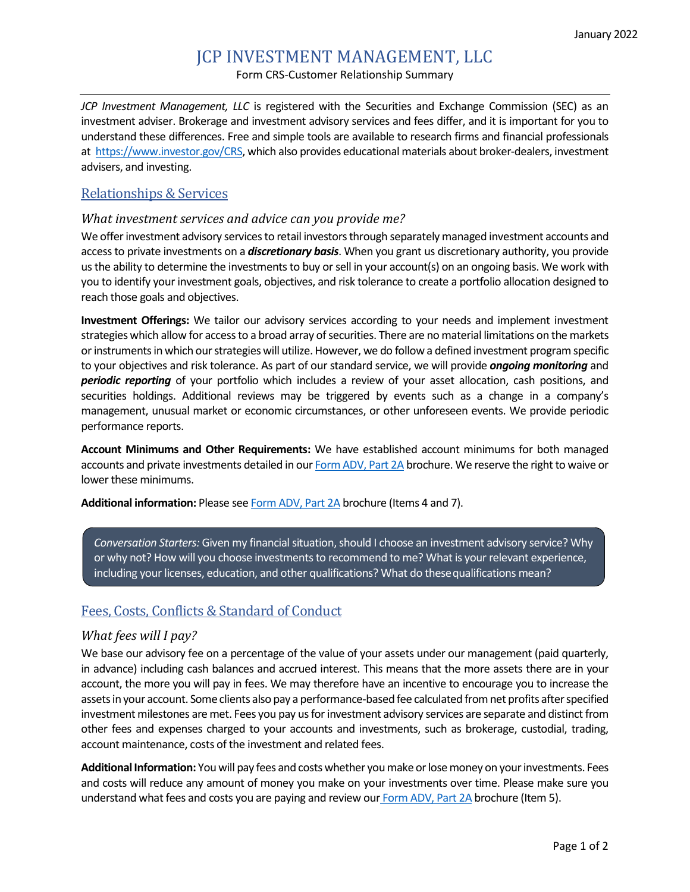# JCP INVESTMENT MANAGEMENT, LLC Form CRS-Customer Relationship Summary

*JCP Investment Management, LLC* is registered with the Securities and Exchange Commission (SEC) as an investment adviser. Brokerage and investment advisory services and fees differ, and it is important for you to understand these differences. Free and simple tools are available to research firms and financial professionals at [https://www.investor.gov/CRS,](https://www.investor.gov/CRS) which also provides educational materials about broker-dealers, investment advisers, and investing.

## Relationships & Services

#### *What investment services and advice can you provide me?*

We offer investment advisory services to retail investors through separately managed investment accounts and access to private investments on a *discretionary basis*. When you grant us discretionary authority, you provide us the ability to determine the investments to buy or sell in your account(s) on an ongoing basis. We work with you to identify your investment goals, objectives, and risk tolerance to create a portfolio allocation designed to reach those goals and objectives.

**Investment Offerings:** We tailor our advisory services according to your needs and implement investment strategies which allow for access to a broad array of securities. There are no material limitations on the markets or instruments in which our strategies will utilize. However, we do follow a defined investment program specific to your objectives and risk tolerance. As part of our standard service, we will provide *ongoing monitoring* and *periodic reporting* of your portfolio which includes a review of your asset allocation, cash positions, and securities holdings. Additional reviews may be triggered by events such as a change in a company's management, unusual market or economic circumstances, or other unforeseen events. We provide periodic performance reports.

**Account Minimums and Other Requirements:** We have established account minimums for both managed accounts and private investments detailed in ou[r Form ADV,](https://adviserinfo.sec.gov/firm/summary/150635) Part 2A brochure. We reserve the right to waive or lower these minimums.

**Additional information:** Please see [Form ADV, Part 2A](https://adviserinfo.sec.gov/firm/summary/150635) brochure (Items 4 and 7).

*Conversation Starters:* Given my financial situation, should I choose an investment advisory service? Why or why not? How will you choose investments to recommend to me? What is your relevant experience, including your licenses, education, and other qualifications? What do thesequalifications mean?

## Fees, Costs, Conflicts & Standard of Conduct

### *What fees will I pay?*

We base our advisory fee on a percentage of the value of your assets under our management (paid quarterly, in advance) including cash balances and accrued interest. This means that the more assets there are in your account, the more you will pay in fees. We may therefore have an incentive to encourage you to increase the assets in your account. Some clients also pay a performance-based fee calculated from net profits after specified investment milestones are met. Fees you pay us for investment advisory services are separate and distinct from other fees and expenses charged to your accounts and investments, such as brokerage, custodial, trading, account maintenance, costs of the investment and related fees.

**Additional Information:** You will pay fees and costs whether you make or lose money on your investments. Fees and costs will reduce any amount of money you make on your investments over time. Please make sure you understand what fees and costs you are paying and review our [Form ADV, Part 2A](https://adviserinfo.sec.gov/firm/summary/150635) brochure (Item 5).